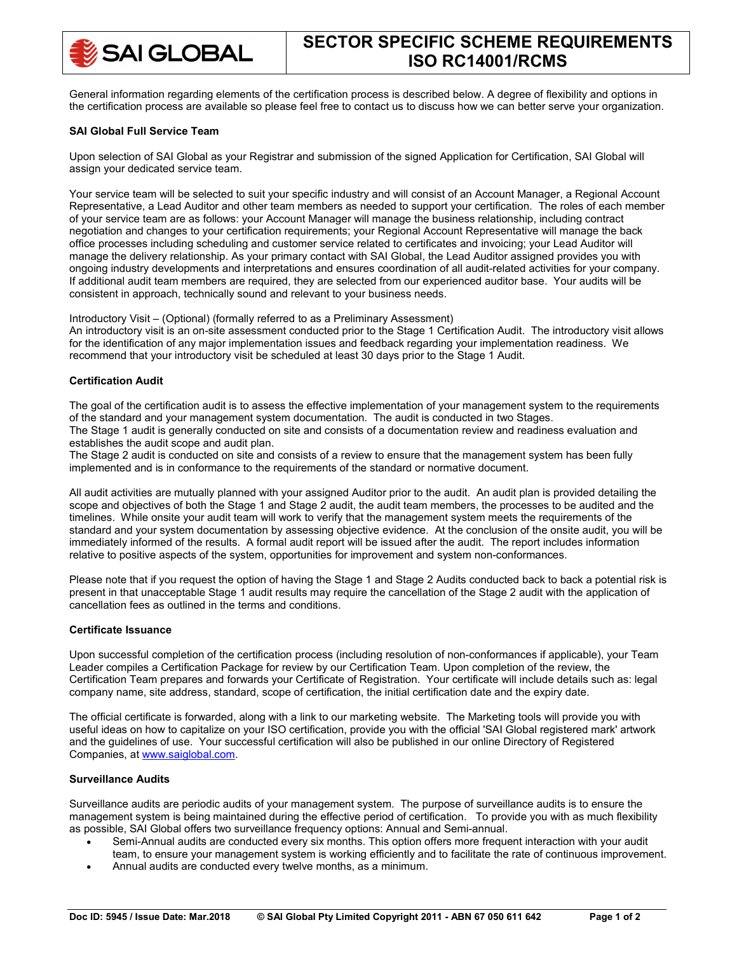General information regarding elements of the certification process is described below. A degree of flexibility and options in the certification process are available so please feel free to contact us to discuss how we can better serve your organization.

## **SAI Global Full Service Team**

Upon selection of SAI Global as your Registrar and submission of the signed Application for Certification, SAI Global will assign your dedicated service team.

Your service team will be selected to suit your specific industry and will consist of an Account Manager, a Regional Account Representative, a Lead Auditor and other team members as needed to support your certification. The roles of each member of your service team are as follows: your Account Manager will manage the business relationship, including contract negotiation and changes to your certification requirements; your Regional Account Representative will manage the back office processes including scheduling and customer service related to certificates and invoicing; your Lead Auditor will manage the delivery relationship. As your primary contact with SAI Global, the Lead Auditor assigned provides you with ongoing industry developments and interpretations and ensures coordination of all audit-related activities for your company. If additional audit team members are required, they are selected from our experienced auditor base. Your audits will be consistent in approach, technically sound and relevant to your business needs.

Introductory Visit – (Optional) (formally referred to as a Preliminary Assessment) An introductory visit is an on-site assessment conducted prior to the Stage 1 Certification Audit. The introductory visit allows for the identification of any major implementation issues and feedback regarding your implementation readiness. We recommend that your introductory visit be scheduled at least 30 days prior to the Stage 1 Audit.

# **Certification Audit**

The goal of the certification audit is to assess the effective implementation of your management system to the requirements of the standard and your management system documentation. The audit is conducted in two Stages. The Stage 1 audit is generally conducted on site and consists of a documentation review and readiness evaluation and establishes the audit scope and audit plan.

The Stage 2 audit is conducted on site and consists of a review to ensure that the management system has been fully implemented and is in conformance to the requirements of the standard or normative document.

All audit activities are mutually planned with your assigned Auditor prior to the audit. An audit plan is provided detailing the scope and objectives of both the Stage 1 and Stage 2 audit, the audit team members, the processes to be audited and the timelines. While onsite your audit team will work to verify that the management system meets the requirements of the standard and your system documentation by assessing objective evidence. At the conclusion of the onsite audit, you will be immediately informed of the results. A formal audit report will be issued after the audit. The report includes information relative to positive aspects of the system, opportunities for improvement and system non-conformances.

Please note that if you request the option of having the Stage 1 and Stage 2 Audits conducted back to back a potential risk is present in that unacceptable Stage 1 audit results may require the cancellation of the Stage 2 audit with the application of cancellation fees as outlined in the terms and conditions.

# **Certificate Issuance**

Upon successful completion of the certification process (including resolution of non-conformances if applicable), your Team Leader compiles a Certification Package for review by our Certification Team. Upon completion of the review, the Certification Team prepares and forwards your Certificate of Registration. Your certificate will include details such as: legal company name, site address, standard, scope of certification, the initial certification date and the expiry date.

The official certificate is forwarded, along with a link to our marketing website. The Marketing tools will provide you with useful ideas on how to capitalize on your ISO certification, provide you with the official 'SAI Global registered mark' artwork and the guidelines of use. Your successful certification will also be published in our online Directory of Registered Companies, at [www.saiglobal.com.](http://www.saiglobal.com/)

## **Surveillance Audits**

Surveillance audits are periodic audits of your management system. The purpose of surveillance audits is to ensure the management system is being maintained during the effective period of certification. To provide you with as much flexibility as possible, SAI Global offers two surveillance frequency options: Annual and Semi-annual.

- Semi-Annual audits are conducted every six months. This option offers more frequent interaction with your audit
- team, to ensure your management system is working efficiently and to facilitate the rate of continuous improvement.
- Annual audits are conducted every twelve months, as a minimum.